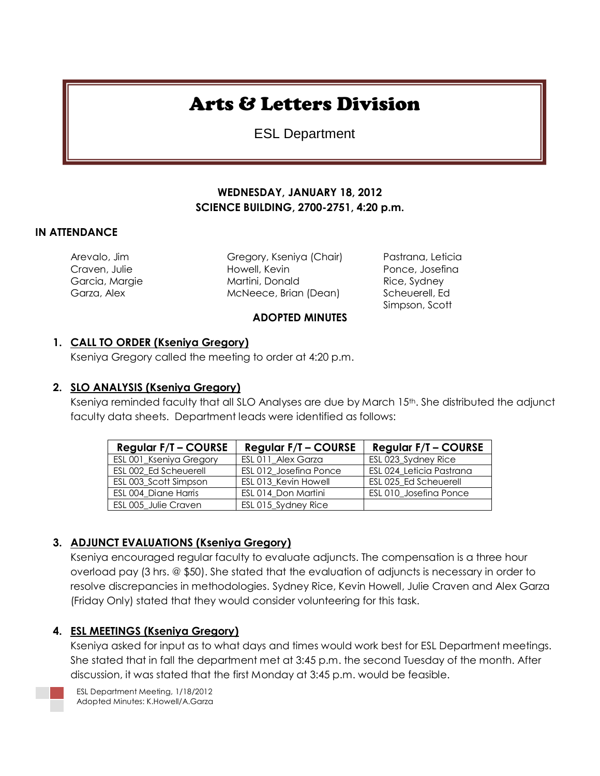# Arts & Letters Division

ESL Department

## **WEDNESDAY, JANUARY 18, 2012 SCIENCE BUILDING, 2700-2751, 4:20 p.m.**

#### **IN ATTENDANCE**

Arevalo, Jim Gregory, Kseniya (Chair) Pastrana, Leticia Craven, Julie Howell, Kevin Ponce, Josefina Garcia, Margie **Martini, Donald Rice, Sydney** Rice, Sydney Garza, Alex **McNeece, Brian (Dean)** Scheuerell, Ed

**ADOPTED MINUTES**

Simpson, Scott

#### **1. CALL TO ORDER (Kseniya Gregory)**

Kseniya Gregory called the meeting to order at 4:20 p.m.

#### **2. SLO ANALYSIS (Kseniya Gregory)**

Kseniya reminded faculty that all SLO Analyses are due by March 15<sup>th</sup>. She distributed the adjunct faculty data sheets. Department leads were identified as follows:

| <b>Regular F/T - COURSE</b> | <b>Regular F/T - COURSE</b> | <b>Regular F/T - COURSE</b> |
|-----------------------------|-----------------------------|-----------------------------|
| ESL 001_Kseniya Gregory     | ESL 011 Alex Garza          | ESL 023_Sydney Rice         |
| ESL 002 Ed Scheuerell       | ESL 012 Josefina Ponce      | ESL 024 Leticia Pastrana    |
| ESL 003 Scott Simpson       | ESL 013 Kevin Howell        | ESL 025 Ed Scheuerell       |
| ESL 004 Diane Harris        | ESL 014 Don Martini         | ESL 010 Josefina Ponce      |
| ESL 005 Julie Craven        | ESL 015_Sydney Rice         |                             |

## **3. ADJUNCT EVALUATIONS (Kseniya Gregory)**

Kseniya encouraged regular faculty to evaluate adjuncts. The compensation is a three hour overload pay (3 hrs. @ \$50). She stated that the evaluation of adjuncts is necessary in order to resolve discrepancies in methodologies. Sydney Rice, Kevin Howell, Julie Craven and Alex Garza (Friday Only) stated that they would consider volunteering for this task.

## **4. ESL MEETINGS (Kseniya Gregory)**

Kseniya asked for input as to what days and times would work best for ESL Department meetings. She stated that in fall the department met at 3:45 p.m. the second Tuesday of the month. After discussion, it was stated that the first Monday at 3:45 p.m. would be feasible.

ESL Department Meeting, 1/18/2012 Adopted Minutes: K.Howell/A.Garza